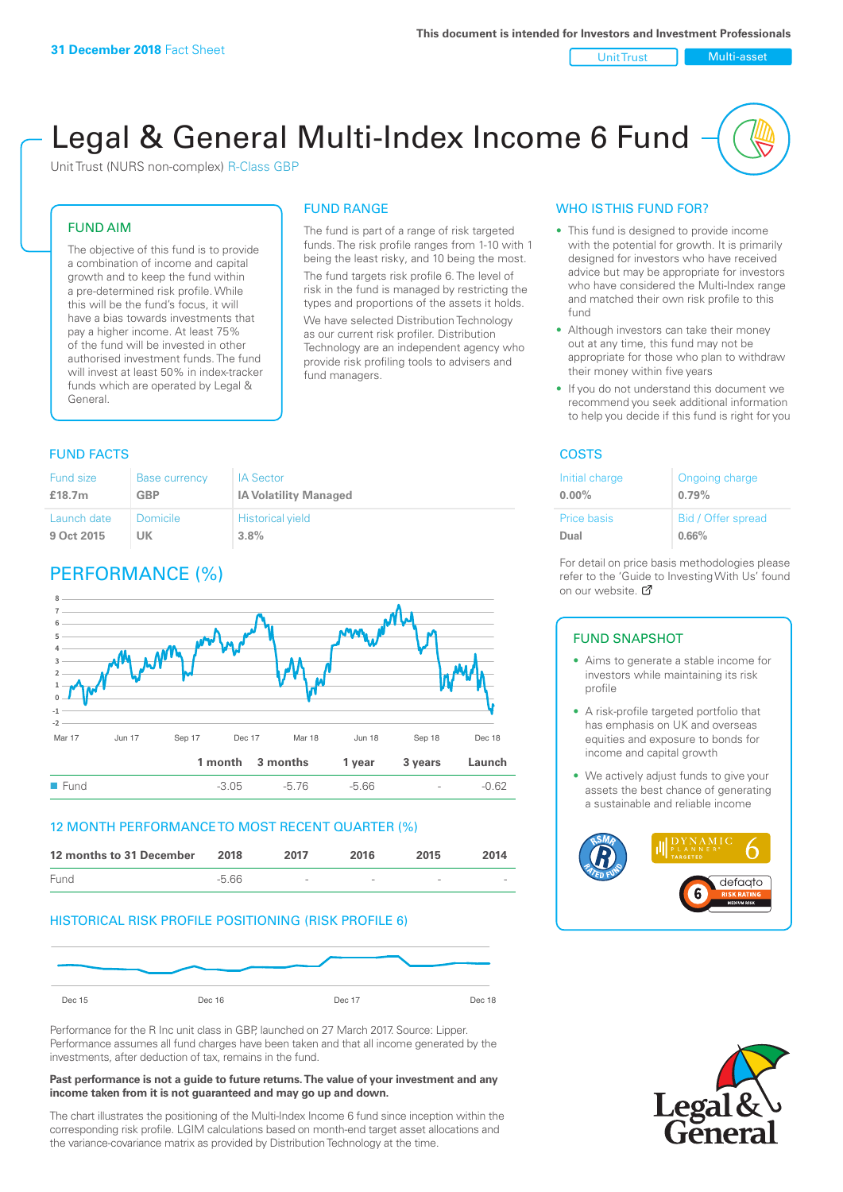#### Unit Trust Nulti-asset

# Legal & General Multi-Index Income 6 Fund

Unit Trust (NURS non-complex) R-Class GBP

### FUND AIM

The objective of this fund is to provide a combination of income and capital growth and to keep the fund within a pre-determined risk profile. While this will be the fund's focus, it will have a bias towards investments that pay a higher income. At least 75% of the fund will be invested in other authorised investment funds. The fund will invest at least 50% in index-tracker funds which are operated by Legal & General.

# FUND RANGE

The fund is part of a range of risk targeted funds. The risk profile ranges from 1-10 with 1 being the least risky, and 10 being the most. The fund targets risk profile 6. The level of risk in the fund is managed by restricting the types and proportions of the assets it holds.

We have selected Distribution Technology as our current risk profiler. Distribution Technology are an independent agency who provide risk profiling tools to advisers and fund managers.

# **FUND FACTS** COSTS

| Fund size   | <b>Base currency</b> | <b>IA Sector</b>             |
|-------------|----------------------|------------------------------|
| £18.7m      | GBP                  | <b>IA Volatility Managed</b> |
| Launch date | Domicile             | <b>Historical yield</b>      |
| 9 Oct 2015  | UK                   | $3.8\%$                      |

# PERFORMANCE (%)



### 12 MONTH PERFORMANCE TO MOST RECENT QUARTER (%)



# HISTORICAL RISK PROFILE POSITIONING (RISK PROFILE 6)



Performance for the R Inc unit class in GBP, launched on 27 March 2017. Source: Lipper. Performance assumes all fund charges have been taken and that all income generated by the investments, after deduction of tax, remains in the fund.

#### **Past performance is not a guide to future returns. The value of your investment and any income taken from it is not guaranteed and may go up and down.**

The chart illustrates the positioning of the Multi-Index Income 6 fund since inception within the corresponding risk profile. LGIM calculations based on month-end target asset allocations and the variance-covariance matrix as provided by Distribution Technology at the time.

# WHO IS THIS FUND FOR?

- This fund is designed to provide income with the potential for growth. It is primarily designed for investors who have received advice but may be appropriate for investors who have considered the Multi-Index range and matched their own risk profile to this fund
- Although investors can take their money out at any time, this fund may not be appropriate for those who plan to withdraw their money within five years
- If you do not understand this document we recommend you seek additional information to help you decide if this fund is right for you

| Initial charge | Ongoing charge     |
|----------------|--------------------|
| $0.00\%$       | 0.79%              |
| Price basis    | Bid / Offer spread |
| Dual           | 0.66%              |

For detail on price basis methodologies please refer to the 'Guide to Investing With Us' found on our website. Ø

# FUND SNAPSHOT

- Aims to generate a stable income for investors while maintaining its risk profile
- A risk-profile targeted portfolio that has emphasis on UK and overseas equities and exposure to bonds for income and capital growth
- We actively adjust funds to give your assets the best chance of generating a sustainable and reliable income



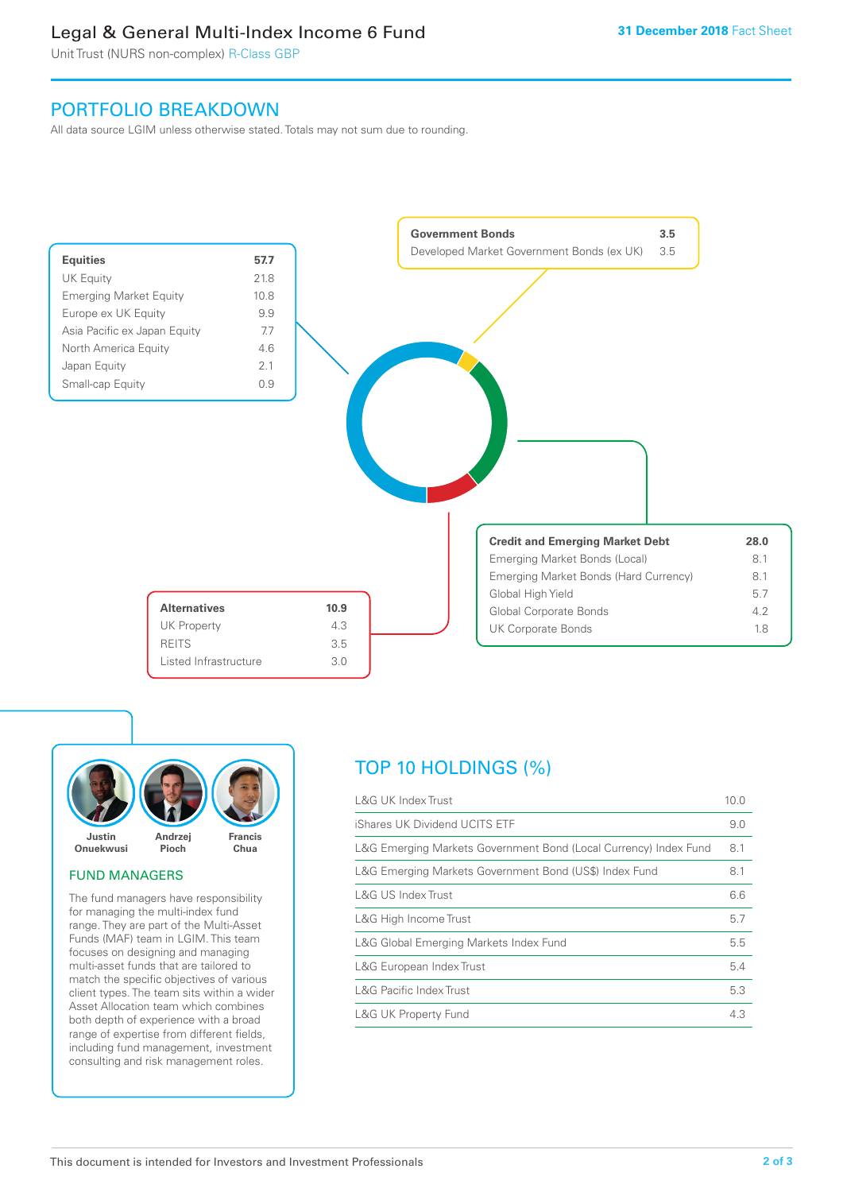# Legal & General Multi-Index Income 6 Fund

Unit Trust (NURS non-complex) R-Class GBP

# PORTFOLIO BREAKDOWN

All data source LGIM unless otherwise stated. Totals may not sum due to rounding.





# FUND MANAGERS

The fund managers have responsibility for managing the multi-index fund range. They are part of the Multi-Asset Funds (MAF) team in LGIM. This team focuses on designing and managing multi-asset funds that are tailored to match the specific objectives of various client types. The team sits within a wider Asset Allocation team which combines both depth of experience with a broad range of expertise from different fields, including fund management, investment consulting and risk management roles.

# TOP 10 HOLDINGS (%)

| <b>L&amp;G UK Index Trust</b>                                    | 10.0 |
|------------------------------------------------------------------|------|
| iShares UK Dividend UCITS ETF                                    | 9.0  |
| L&G Emerging Markets Government Bond (Local Currency) Index Fund | 8.1  |
| L&G Emerging Markets Government Bond (US\$) Index Fund           | 8.1  |
| L&G US Index Trust                                               | 6.6  |
| L&G High Income Trust                                            | 5.7  |
| L&G Global Emerging Markets Index Fund                           | 5.5  |
| L&G European Index Trust                                         | 5.4  |
| <b>L&amp;G Pacific Index Trust</b>                               | 5.3  |
| <b>L&amp;G UK Property Fund</b>                                  | 4.3  |